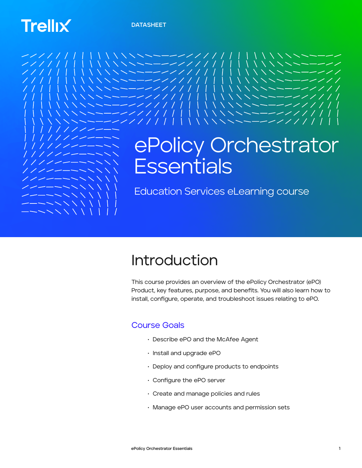**DATASHEET**

# **Trellix**



## Introduction

This course provides an overview of the ePolicy Orchestrator (ePO) Product, key features, purpose, and benefits. You will also learn how to install, configure, operate, and troubleshoot issues relating to ePO.

#### Course Goals

- Describe ePO and the McAfee Agent
- Install and upgrade ePO
- Deploy and configure products to endpoints
- Configure the ePO server
- Create and manage policies and rules
- Manage ePO user accounts and permission sets